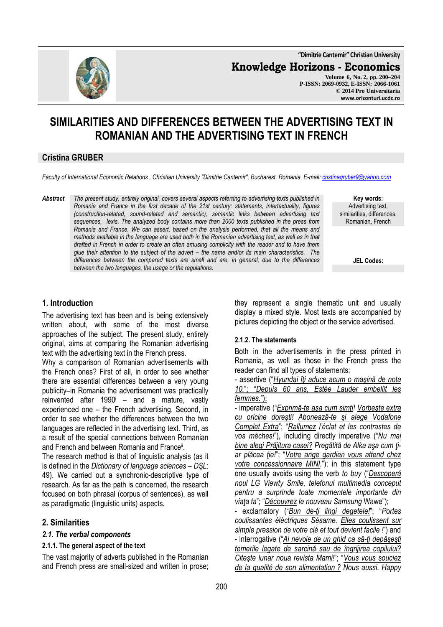**"Dimitrie Cantemir" Christian University**

**Knowledge Horizons - Economics**

**Volume 6, No. 2, pp. 200–204 P-ISSN: 2069-0932, E-ISSN: 2066-1061 © 2014 Pro Universitaria www.orizonturi.ucdc.ro**

# **SIMILARITIES AND DIFFERENCES BETWEEN THE ADVERTISING TEXT IN ROMANIAN AND THE ADVERTISING TEXT IN FRENCH**

## **Cristina GRUBER**

*Faculty of International Economic Relations , Christian University "Dimitrie Cantemir", Bucharest, Romania, E-mail: cristinagruber9@yahoo.com*

*Abstract The present study, entirely original, covers several aspects referring to advertising texts published in Romania and France in the first decade of the 21st century: statements, intertextuality, figures (construction-related, sound-related and semantic), semantic links between advertising text sequences, lexis. The analyzed body contains more than 2000 texts published in the press from Romania and France. We can assert, based on the analysis performed, that all the means and methods available in the language are used both in the Romanian advertising text, as well as in that drafted in French in order to create an often amusing complicity with the reader and to have them glue their attention to the subject of the advert – the name and/or its main characteristics. The differences between the compared texts are small and are, in general, due to the differences between the two languages, the usage or the regulations.*

**Key words:** Advertising text, similarities, differences, Romanian, French

**JEL Codes:**

### **1. Introduction**

The advertising text has been and is being extensively written about, with some of the most diverse approaches of the subject. The present study, entirely original, aims at comparing the Romanian advertising text with the advertising text in the French press.

Why a comparison of Romanian advertisements with the French ones? First of all, in order to see whether there are essential differences between a very young publicity–in Romania the advertisement was practically reinvented after 1990<sup>i</sup> – and a mature, vastly experienced one – the French advertising. Second, in order to see whether the differences between the two languages are reflected in the advertising text. Third, as a result of the special connections between Romanian and French and between Romania and France<sup>ii</sup>.

The research method is that of linguistic analysis (as it is defined in the *Dictionary of language sciences* – *DŞL*: 49). We carried out a synchronic-descriptive type of research. As far as the path is concerned, the research focused on both phrasal (corpus of sentences), as well as paradigmatic (linguistic units) aspects.

### **2. Similarities**

#### *2.1. The verbal components*

#### **2.1.1. The general aspect of the text**

The vast majority of adverts published in the Romanian and French press are small-sized and written in prose; they represent a single thematic unit and usually display a mixed style. Most texts are accompanied by pictures depicting the object or the service advertised.

#### **2.1.2. The statements**

Both in the advertisements in the press printed in Romania, as well as those in the French press the reader can find all types of statements:

- assertive ("*Hyundai îţi aduce acum o maşină de nota 10.*"; "*Depuis 60 ans, Estée Lauder embellit les femmes.*");

- imperative ("*Exprimă-te aşa cum simţi! Vorbeşte extra cu oricine doreşti! Abonează-te şi alege Vodafone Complet Extra*"; "*Rallumez l'éclat et les contrastes de vos mèches!*"), including directly imperative ("*Nu mai bine alegi Prăjitura casei? Pregătită de Alka aşa cum ţiar plăcea ţie!*"; "*Votre ange gardien vous attend chez votre concessionnaire MINI.*"); in this statement type one usually avoids using the verb *to buy* ("*Descoperă noul LG Viewty Smile, telefonul multimedia conceput pentru a surprinde toate momentele importante din viaţa ta*"; "*Découvrez le nouveau Samsung* Wawe");

- exclamatory ("*Bun de-ţi lingi degetele!*"; "*Portes coulissantes éléctriques Sésame. Elles coulissent sur simple pression de votre clé et tout devient facile !*") and - interrogative ("*Ai nevoie de un ghid ca să-ţi depăşeşti temerile legate de sarcină sau de îngrijirea copilului? Citeşte lunar noua revista Mami!*"; "*Vous vous souciez de la qualité de son alimentation ? Nous aussi. Happy* 

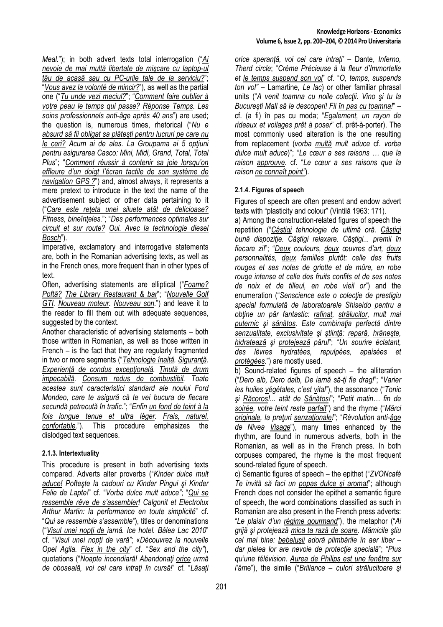*Meal.*"); in both advert texts total interrogation ("*Ai nevoie de mai multă libertate de mişcare cu laptop-ul tău de acasă sau cu PC-urile tale de la serviciu?*"; "*Vous avez la volonté de mincir?*"), as well as the partial one ("*Tu unde vezi meciul?*"; "*Comment faire oublier à votre peau le temps qui passe? Réponse Temps. Les soins professionnels anti-âge après 40 ans*") are used; the question is, numerous times, rhetorical ("*Nu e absurd să fii obligat sa plăteşti pentru lucruri pe care nu le ceri? Acum ai de ales. La Groupama ai 5 opţiuni pentru asigurarea Casco: Mini, Midi, Grand, Total, Total Plus*"; "*Comment réussir à contenir sa joie lorsqu'on effleure d'un doigt l'écran tactile de son système de navigation GPS ?*") and, almost always, it represents a mere pretext to introduce in the text the name of the advertisement subject or other data pertaining to it ("*Care este reţeta unei siluete atât de delicioase? Fitness, bineînţeles.*"; "*Des performances optimales sur circuit et sur route? Oui. Avec la technologie diesel Bosch*").

Imperative, exclamatory and interrogative statements are, both in the Romanian advertising texts, as well as in the French ones, more frequent than in other types of text.

Often, advertising statements are elliptical ("*Foame? Poftă? The Library Restaurant & bar*"; "*Nouvelle Golf GTI. Nouveau moteur. Nouveau son.*") and leave it to the reader to fill them out with adequate sequences, suggested by the context.

Another characteristic of advertising statements – both those written in Romanian, as well as those written in French – is the fact that they are regularly fragmented in two or more segments ("*Tehnologie înaltă. Siguranţă. Experienţă de condus excepţională. Ţinută de drum impecabilă. Consum redus de combustibil. Toate acestea sunt caracteristici standard ale noului Ford Mondeo, care te asigură că te vei bucura de fiecare secundă petrecută în trafic.*"; "*Enfin un fond de teint à la fois longue tenue et ultra léger. Frais, naturel, confortable.*"). This procedure emphasizes the dislodged text sequences.

#### **2.1.3. Intertextuality**

This procedure is present in both advertising texts compared. Adverts alter proverbs ("*Kinder dulce mult aduce! Pofteşte la cadouri cu Kinder Pingui şi Kinder Felie de Lapte!*" cf. "*Vorba dulce mult aduce"*; "*Qui se ressemble rêve de s'assembler! Calgonit et Electrolux Arthur Martin: la performance en toute simplicité*" cf. "*Qui se ressemble s'assemble"*), titles or denominations ("*Visul unei nopţi de iarnă. Ice hotel. Bâlea Lac 2010*" cf. "*Visul unei nopți de vară"*; «*Découvrez la nouvelle Opel Agila. Flex in the city*" cf. "*Sex and the city"*), quotations ("*Noapte incendiară! Abandonaţi orice urmă de oboseală, voi cei care intraţi în cursă!*" cf. "*Lăsați*  *orice speranță, voi cei care intrați'* – Dante, *Inferno, Therd circle*; "*Crème Précieuse à la fleur d'Immortelle et le temps suspend son vol*" cf. "*O, temps, suspends ton vol"* – Lamartine, *Le lac*) or other familiar phrasal units ("*A venit toamna cu noile colecţii. Vino şi tu la Bucureşti Mall să le descoperi! Fii în pas cu toamna!*" – cf. (a fi) în pas cu moda; "*Egalement, un rayon de rideaux et voilages prêt à poser*" cf. prêt-à-porter). The most commonly used alteration is the one resulting from replacement (*vorba multă mult aduce* cf. *vorba dulce mult aduce*)"; "*Le cœur a ses raisons … que la raison approuve*. cf. "*Le cœur a ses raisons que la raison ne connaît point"*).

## **2.1.4. Figures of speech**

Figures of speech are often present and endow advert texts with "plasticity and colour" (Vintilă 1963: 171).

a) Among the construction-related figures of speech the repetition ("*Câştigi tehnologie de ultimă oră. Câştigi bună dispoziţie. Câştigi relaxare. Câştigi... premii în fiecare zi!*"; "*Deux couleurs, deux œuvres d'art, deux personnalités, deux familles plutôt: celle des fruits rouges et ses notes de griotte et de mûre, en robe rouge intense et celle des fruits confits et de ses notes de noix et de tilleul, en robe vieil or*") and the enumeration ("*Senscience este o colecţie de prestigiu special formulată de laboratoarele Shiseido pentru a obţine un păr fantastic: rafinat, strălucitor, mult mai puternic şi sănătos. Este combinaţia perfectă dintre senzualitate, exclusivitate şi ştiinţă: repară, hrăneşte, hidratează şi protejează părul*"; "*Un sourire éclatant, des lèvres hydratées, repulpées, apaisées et protégées.*") are mostly used.

b) Sound-related figures of speech – the alliteration ("*Dero alb, Dero dalb, De iarnă să-ţi fie drag!*"; "*Varier les huiles végétales, c'est vital*"), the assonance ("*Tonic şi Răcoros!... atât de Sănătos!*"; "*Petit matin… fin de soirée, votre teint reste parfait*") and the rhyme ("*Mărci originale, la preţuri senzaţionale!*"; "*Révolution anti-âge de Nivea Visage*"), many times enhanced by the rhythm, are found in numerous adverts, both in the Romanian, as well as in the French press. In both corpuses compared, the rhyme is the most frequent sound-related figure of speech.

c) Semantic figures of speech – the epithet ("*ZVONcafé Te invită să faci un popas dulce şi aromat*"; although French does not consider the epithet a semantic figure of speech, the word combinations classified as such in Romanian are also present in the French press adverts: "*Le plaisir d'un régime gourmand*"), the metaphor ("*Ai grijă şi protejează mica ta rază de soare. Mămicile ştiu cel mai bine: bebeluşii adoră plimbările în aer liber – dar pielea lor are nevoie de protecţie specială*"; "*Plus qu'une télévision. Aurea de Philips est une fenêtre sur l'âm*e"), the simile ("*Brillance – culori strălucitoare şi*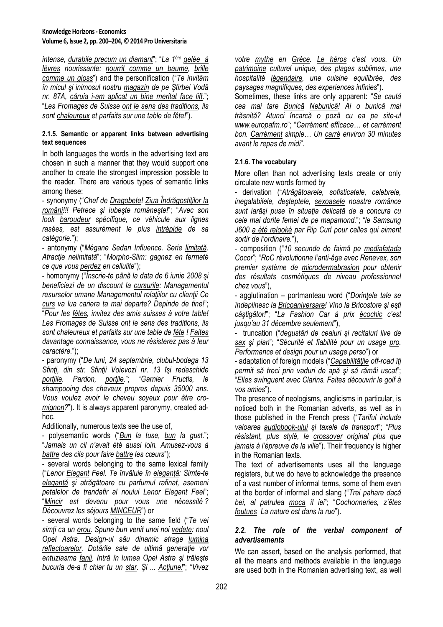*intense, durabile precum un diamant*"; "*La 1ère gelée à lèvres nourissante: nourrit comme un baume, brille comme un gloss*") and the personification ("*Te invităm în micul şi inimosul nostru magazin de pe Ştirbei Vodă nr. 87A, căruia i-am aplicat un bine meritat face lift.*"; "*Les Fromages de Suisse ont le sens des traditions, ils sont chaleureux et parfaits sur une table de fête!*").

#### **2.1.5. Semantic or apparent links between advertising text sequences**

In both languages the words in the advertising text are chosen in such a manner that they would support one another to create the strongest impression possible to the reader. There are various types of semantic links among these:

- synonymy ("*Chef de Dragobete! Ziua Îndrăgostiţilor la români!!! Petrece şi iubeşte româneşte!*"; "*Avec son look baroudeur spécifique, ce véhicule aux lignes rasées, est assurément le plus intrépide de sa catégorie.*");

- antonymy ("*Mégane Sedan Influence. Serie limitată. Atracţie nelimitată*"; "*Morpho-Slim: gagnez en fermeté ce que vous perdez en cellulite*");

- homonymy ("*Înscrie-te până la data de 6 iunie 2008 şi beneficiezi de un discount la cursurile: Managementul resurselor umane Managementul relaţiilor cu clienţii Ce curs va lua cariera ta mai departe? Depinde de tine!*"; "*Pour les fêtes, invitez des amis suisses à votre table! Les Fromages de Suisse ont le sens des traditions, ils sont chaleureux et parfaits sur une table de fête ! Faites davantage connaissance, vous ne résisterez pas à leur caractère.*");

- paronymy ("*De luni, 24 septembrie, clubul-bodega 13 Sfinţi, din str. Sfinţii Voievozi nr. 13 îşi redeschide porţiile. Pardon, porţile.*"; "*Garnier Fructis, le shampooing des cheveux propres depuis 35000 ans. Vous voulez avoir le cheveu soyeux pour être cromignon?*"). It is always apparent paronymy, created adhoc.

Additionally, numerous texts see the use of,

- polysemantic words ("*Bun la tuse, bun la gust.*"; "*Jamais un cil n'avait été aussi loin. Amusez-vous à battre des cils pour faire battre les cœurs*");

- several words belonging to the same lexical family ("*Lenor Elegant Feel. Te învăluie în eleganţă: Simte-te elegantă şi atrăgătoare cu parfumul rafinat, asemeni petalelor de trandafir al noului Lenor Elegant Feel*"; "*Mincir est devenu pour vous une nécessité ? Découvrez les séjours MINCEUR*") or

- several words belonging to the same field ("*Te vei simţi ca un erou. Spune bun venit unei noi vedete: noul Opel Astra. Design-ul său dinamic atrage lumina reflectoarelor. Dotările sale de ultimă generaţie vor entuziasma fanii. Intră în lumea Opel Astra şi trăieşte bucuria de-a fi chiar tu un star. Şi ... Acţiune!*"; "*Vivez* 

*votre mythe en Grèce. Le héros c'est vous. Un patrimoine culturel unique, des plages sublimes, une hospitalité légendaire, une cuisine equilibrée, des paysages magnifiques, des experiences infinies*").

Sometimes, these links are only apparent: "*Se caută cea mai tare Bunică Nebunică! Ai o bunică mai trăsnită? Atunci încarcă o poză cu ea pe site-ul www.europafm.ro*"; "*Carrément efficace… et carrément bon. Carrément simple… Un carré environ 30 minutes avant le repas de midi*".

### **2.1.6. The vocabulary**

More often than not advertising texts create or only circulate new words formed by

- derivation ("*Atrăgătoarele, sofisticatele, celebrele, inegalabilele, deşteptele, sexoasele noastre românce sunt iarăşi puse în situaţia delicată de a concura cu cele mai dorite femei de pe mapamond.*"; "*le Samsung J600 a été relooké par Rip Curl pour celles qui aiment sortir de l'ordinaire.*"),

- composition ("*10 secunde de faimă pe mediafaţada Cocor*"; "*RoC révolutionne l'anti-âge avec Renevex, son premier système de microdermabrasion pour obtenir des résultats cosmétiques de niveau professionnel chez vous*"),

- agglutination – portmanteau word ("*Dorinţele tale se îndeplinesc la Bricoaniversare! Vino la Bricostore şi eşti câştigător!*"; "*La Fashion Car à prix écochic c'est jusqu'au 31 décembre seulement*"),

- truncation ("*degustări de ceaiuri şi recitaluri live de sax şi pian*"; "*Sécurité et fiabilité pour un usage pro. Performance et design pour un usage perso*") or

- adaptation of foreign models ("*Capabilităţile off-road îţi permit să treci prin vaduri de apă şi să rămâi uscat*"; "*Elles swinguent avec Clarins. Faites découvrir le golf à vos amies*").

The presence of neologisms, anglicisms in particular, is noticed both in the Romanian adverts, as well as in those published in the French press ("*Tariful include valoarea audiobook-ului şi taxele de transport*"; "*Plus résistant, plus stylé, le crossover original plus que jamais à l'épreuve de la ville*"). Their frequency is higher in the Romanian texts.

The text of advertisements uses all the language registers, but we do have to acknowledge the presence of a vast number of informal terms, some of them even at the border of informal and slang ("*Trei pahare dacă bei, al patrulea moca îl iei*"; "*Cochonneries, z'êtes foutues La nature est dans la rue*").

### *2.2. The role of the verbal component of advertisements*

We can assert, based on the analysis performed, that all the means and methods available in the language are used both in the Romanian advertising text, as well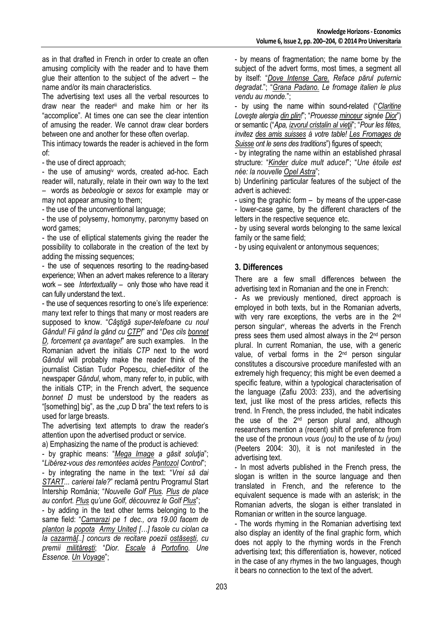as in that drafted in French in order to create an often amusing complicity with the reader and to have them glue their attention to the subject of the advert – the name and/or its main characteristics.

The advertising text uses all the verbal resources to draw near the reader<sup>iii</sup> and make him or her its "accomplice". At times one can see the clear intention of amusing the reader. We cannot draw clear borders between one and another for these often overlap.

This intimacy towards the reader is achieved in the form of:

- the use of direct approach;

- the use of amusing<sup>iv</sup> words, created ad-hoc. Each reader will, naturally, relate in their own way to the text – words as *bebeologie* or *sexos* for examplemay or may not appear amusing to them;

- the use of the unconventional language;

- the use of polysemy, homonymy, paronymy based on word games:

- the use of elliptical statements giving the reader the possibility to collaborate in the creation of the text by adding the missing sequences;

- the use of sequences resorting to the reading-based experience; When an advert makes reference to a literary work – see *Intertextuality* – only those who have read it can fully understand the text..

- the use of sequences resorting to one's life experience: many text refer to things that many or most readers are supposed to know. "*Câştigă super-telefoane cu noul Gândul! Fii gând la gând cu CTP!*" and "*Des cils bonnet D, forcement ça avantage!*" are such examples. In the Romanian advert the initials *CTP* next to the word *Gândul* will probably make the reader think of the journalist Cistian Tudor Popescu, chief-editor of the newspaper *Gândul*, whom, many refer to, in public, with the initials CTP; in the French advert, the sequence *bonnet D* must be understood by the readers as "[something] big", as the  $\mu$ cup D bra" the text refers to is used for large breasts.

The advertising text attempts to draw the reader's attention upon the advertised product or service.

a) Emphasizing the name of the product is achieved:

- by graphic means: "*Mega Image a găsit soluţia*"; "*Libérez-vous des remontées acides Pantozol Control*"; - by integrating the name in the text: "*Vrei să dai START... carierei tale?*" reclamă pentru Programul Start Intership România; "*Nouvelle Golf Plus. Plus de place au confort. Plus qu'une Golf, découvrez le Golf Plus*";

- by adding in the text other terms belonging to the same field: "*Camarazi pe 1 dec., ora 19.00 facem de planton la popota Army United […] fasole cu ciolan ca la cazarmă[..] concurs de recitare poezii ostăsești, cu premii militărești*; "*Dior. Escale à Portofino. Une Essence. Un Voyage*";

- by means of fragmentation; the name borne by the subject of the advert forms, most times, a segment all by itself: "*Dove Intense Care. Reface părul puternic degradat.*"; "*Grana Padano. Le fromage italien le plus vendu au monde.*";

- by using the name within sound-related ("*Claritine Loveşte alergia din plin!*"; "*Prouesse minceur signée Dior*") or semantic ("*Apa, izvorul cristalin al vieţii*"; "*Pour les fêtes, invitez des amis suisses à votre table! Les Fromages de Suisse ont le sens des traditions*") figures of speech;

- by integrating the name within an established phrasal structure: "*Kinder dulce mult aduce!*"; "*Une étoile est née: la nouvelle Opel Astra*";

b) Underlining particular features of the subject of the advert is achieved:

- using the graphic form – by means of the upper-case - lower-case game, by the different characters of the letters in the respective sequence etc.

- by using several words belonging to the same lexical family or the same field;

- by using equivalent or antonymous sequences;

### **3. Differences**

There are a few small differences between the advertising text in Romanian and the one in French:

- As we previously mentioned, direct approach is employed in both texts, but in the Romanian adverts, with very rare exceptions, the verbs are in the 2<sup>nd</sup> person singular<sup>v</sup> , whereas the adverts in the French press sees them used almost always in the 2nd person plural. In current Romanian, the use, with a generic value, of verbal forms in the 2<sup>nd</sup> person singular constitutes a discoursive procedure manifested with an extremely high frequency; this might be even deemed a specific feature, within a typological characterisation of the language (Zafiu 2003: 233), and the advertising text, just like most of the press articles, reflects this trend. In French, the press included, the habit indicates the use of the  $2<sup>nd</sup>$  person plural and, although researchers mention a (recent) shift of preference from the use of the pronoun *vous (you)* to the use of *tu (you)* (Peeters 2004: 30), it is not manifested in the advertising text.

- In most adverts published in the French press, the slogan is written in the source language and then translated in French, and the reference to the equivalent sequence is made with an asterisk; in the Romanian adverts, the slogan is either translated in Romanian or written in the source language.

- The words rhyming in the Romanian advertising text also display an identity of the final graphic form, which does not apply to the rhyming words in the French advertising text; this differentiation is, however, noticed in the case of any rhymes in the two languages, though it bears no connection to the text of the advert.